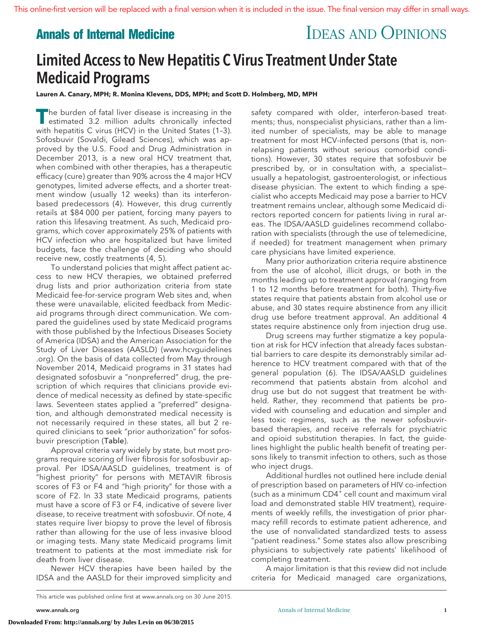# **Annals of Internal Medicine IDEAS AND OPINIONS**

# Limited Access to New Hepatitis C Virus Treatment Under State Medicaid Programs

**Lauren A. Canary, MPH; R. Monina Klevens, DDS, MPH; and Scott D. Holmberg, MD, MPH**

**The burden of fatal liver disease is increasing in the estimated 3.2 million adults chronically infected in the state of a system of a system of a system of a system of a system of a system of a system of a system of a sy** with hepatitis C virus (HCV) in the United States (1–3). Sofosbuvir (Sovaldi, Gilead Sciences), which was approved by the U.S. Food and Drug Administration in December 2013, is a new oral HCV treatment that, when combined with other therapies, has a therapeutic efficacy (cure) greater than 90% across the 4 major HCV genotypes, limited adverse effects, and a shorter treatment window (usually 12 weeks) than its interferonbased predecessors (4). However, this drug currently retails at \$84 000 per patient, forcing many payers to ration this lifesaving treatment. As such, Medicaid programs, which cover approximately 25% of patients with HCV infection who are hospitalized but have limited budgets, face the challenge of deciding who should receive new, costly treatments (4, 5).

To understand policies that might affect patient access to new HCV therapies, we obtained preferred drug lists and prior authorization criteria from state Medicaid fee-for-service program Web sites and, when these were unavailable, elicited feedback from Medicaid programs through direct communication. We compared the guidelines used by state Medicaid programs with those published by the Infectious Diseases Society of America (IDSA) and the American Association for the Study of Liver Diseases (AASLD) [\(www.hcvguidelines](http://www.hcvguidelines.org) [.org\)](http://www.hcvguidelines.org). On the basis of data collected from May through November 2014, Medicaid programs in 31 states had designated sofosbuvir a "nonpreferred" drug, the prescription of which requires that clinicians provide evidence of medical necessity as defined by state-specific laws. Seventeen states applied a "preferred" designation, and although demonstrated medical necessity is not necessarily required in these states, all but 2 required clinicians to seek "prior authorization" for sofosbuvir prescription (Table).

Approval criteria vary widely by state, but most programs require scoring of liver fibrosis for sofosbuvir approval. Per IDSA/AASLD guidelines, treatment is of "highest priority" for persons with METAVIR fibrosis scores of F3 or F4 and "high priority" for those with a score of F2. In 33 state Medicaid programs, patients must have a score of F3 or F4, indicative of severe liver disease, to receive treatment with sofosbuvir. Of note, 4 states require liver biopsy to prove the level of fibrosis rather than allowing for the use of less invasive blood or imaging tests. Many state Medicaid programs limit treatment to patients at the most immediate risk for death from liver disease.

Newer HCV therapies have been hailed by the IDSA and the AASLD for their improved simplicity and

This article was published online first at [www.annals.org](http://www.annals.org) on 30 June 2015.

safety compared with older, interferon-based treatments; thus, nonspecialist physicians, rather than a limited number of specialists, may be able to manage treatment for most HCV-infected persons (that is, nonrelapsing patients without serious comorbid conditions). However, 30 states require that sofosbuvir be prescribed by, or in consultation with, a specialist usually a hepatologist, gastroenterologist, or infectious disease physician. The extent to which finding a specialist who accepts Medicaid may pose a barrier to HCV treatment remains unclear, although some Medicaid directors reported concern for patients living in rural areas. The IDSA/AASLD guidelines recommend collaboration with specialists (through the use of telemedicine, if needed) for treatment management when primary care physicians have limited experience.

Many prior authorization criteria require abstinence from the use of alcohol, illicit drugs, or both in the months leading up to treatment approval (ranging from 1 to 12 months before treatment for both). Thirty-five states require that patients abstain from alcohol use or abuse, and 30 states require abstinence from any illicit drug use before treatment approval. An additional 4 states require abstinence only from injection drug use.

Drug screens may further stigmatize a key population at risk for HCV infection that already faces substantial barriers to care despite its demonstrably similar adherence to HCV treatment compared with that of the general population (6). The IDSA/AASLD guidelines recommend that patients abstain from alcohol and drug use but do not suggest that treatment be withheld. Rather, they recommend that patients be provided with counseling and education and simpler and less toxic regimens, such as the newer sofosbuvirbased therapies, and receive referrals for psychiatric and opioid substitution therapies. In fact, the guidelines highlight the public health benefit of treating persons likely to transmit infection to others, such as those who inject drugs.

Additional hurdles not outlined here include denial of prescription based on parameters of HIV co-infection (such as a minimum  $CD4^+$  cell count and maximum viral load and demonstrated stable HIV treatment), requirements of weekly refills, the investigation of prior pharmacy refill records to estimate patient adherence, and the use of nonvalidated standardized tests to assess "patient readiness." Some states also allow prescribing physicians to subjectively rate patients' likelihood of completing treatment.

A major limitation is that this review did not include criteria for Medicaid managed care organizations,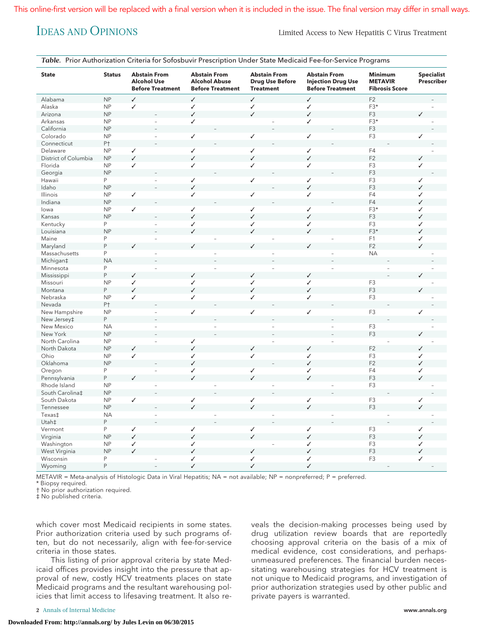IDEAS AND OPINIONS Limited Access to New Hepatitis C Virus Treatment

|  |  | Table. Prior Authorization Criteria for Sofosbuvir Prescription Under State Medicaid Fee-for-Service Programs |
|--|--|---------------------------------------------------------------------------------------------------------------|
|  |  |                                                                                                               |

| <b>State</b><br><b>Status</b> |                | <b>Abstain From</b><br><b>Alcohol Use</b><br><b>Before Treatment</b> |  | <b>Abstain From</b><br><b>Alcohol Abuse</b><br><b>Before Treatment</b> |  | <b>Abstain From</b><br><b>Drug Use Before</b><br><b>Treatment</b> |    | <b>Abstain From</b><br><b>Injection Drug Use</b><br><b>Before Treatment</b> |  | <b>Minimum</b><br><b>METAVIR</b><br><b>Fibrosis Score</b> |                   | <b>Specialist</b><br>Prescriber |  |
|-------------------------------|----------------|----------------------------------------------------------------------|--|------------------------------------------------------------------------|--|-------------------------------------------------------------------|----|-----------------------------------------------------------------------------|--|-----------------------------------------------------------|-------------------|---------------------------------|--|
| Alabama                       | NP             | $\checkmark$                                                         |  | $\checkmark$                                                           |  | $\checkmark$                                                      |    | $\checkmark$                                                                |  | F2                                                        |                   |                                 |  |
| Alaska                        | NP             | $\checkmark$                                                         |  | $\checkmark$                                                           |  | ✓                                                                 |    | ✓                                                                           |  | F3*                                                       |                   |                                 |  |
| Arizona                       | NP             |                                                                      |  | $\checkmark$                                                           |  | $\checkmark$                                                      |    | $\checkmark$                                                                |  | F3                                                        |                   |                                 |  |
| Arkansas                      | NP             |                                                                      |  | ✓                                                                      |  |                                                                   |    | ✓                                                                           |  | $F3*$                                                     |                   |                                 |  |
| California                    | NP             |                                                                      |  |                                                                        |  |                                                                   |    |                                                                             |  | F <sub>3</sub>                                            |                   |                                 |  |
| Colorado                      | NP             |                                                                      |  | $\checkmark$                                                           |  | $\checkmark$                                                      |    | $\checkmark$                                                                |  | F <sub>3</sub>                                            | ✓                 |                                 |  |
| Connecticut                   | P <sup>+</sup> |                                                                      |  |                                                                        |  |                                                                   |    |                                                                             |  |                                                           |                   |                                 |  |
| Delaware                      | NP             | $\checkmark$                                                         |  | ✓                                                                      |  | ✓                                                                 |    | ✓                                                                           |  | F4                                                        |                   |                                 |  |
| District of Columbia          | NP             | $\checkmark$                                                         |  | $\checkmark$                                                           |  | $\checkmark$                                                      |    | $\checkmark$                                                                |  | F <sub>2</sub>                                            | ✓                 |                                 |  |
| Florida                       | <b>NP</b>      | $\checkmark$                                                         |  | ✓                                                                      |  | ✓                                                                 |    | ✓                                                                           |  | F <sub>3</sub>                                            | $\checkmark$      |                                 |  |
| Georgia                       | NP             |                                                                      |  |                                                                        |  |                                                                   |    |                                                                             |  | F <sub>3</sub>                                            |                   |                                 |  |
| Hawaii                        | P              |                                                                      |  | $\checkmark$                                                           |  | ✓                                                                 |    | $\checkmark$                                                                |  | F <sub>3</sub>                                            | ✓                 |                                 |  |
| Idaho                         | NP             |                                                                      |  | ✓                                                                      |  |                                                                   |    | $\checkmark$                                                                |  | F <sub>3</sub>                                            | ✓                 |                                 |  |
| Illinois                      | NP             | $\checkmark$                                                         |  | ✓                                                                      |  | ✓                                                                 |    | $\checkmark$                                                                |  | F <sub>4</sub>                                            | $\checkmark$      |                                 |  |
| Indiana                       | NP             |                                                                      |  |                                                                        |  |                                                                   |    |                                                                             |  | F4                                                        | J                 |                                 |  |
| lowa                          | NP             | $\checkmark$                                                         |  | ✓                                                                      |  | ✓                                                                 |    | $\checkmark$                                                                |  | F3*                                                       | $\checkmark$      |                                 |  |
| Kansas                        | NP             |                                                                      |  | $\checkmark$                                                           |  | $\checkmark$                                                      |    | $\checkmark$                                                                |  | F <sub>3</sub>                                            | ✓                 |                                 |  |
| Kentucky                      | P              | $\overline{a}$                                                       |  | ✓                                                                      |  | ✓                                                                 |    | ✓                                                                           |  | F <sub>3</sub>                                            | ✓                 |                                 |  |
| Louisiana                     | NP             |                                                                      |  | $\checkmark$                                                           |  | $\checkmark$                                                      |    | $\checkmark$                                                                |  | F3*                                                       | ✓                 |                                 |  |
| Maine                         | P              | $\bar{\phantom{a}}$                                                  |  |                                                                        |  |                                                                   |    |                                                                             |  | F1                                                        | $\checkmark$      |                                 |  |
| Maryland                      | $\mathsf P$    | $\checkmark$                                                         |  | $\checkmark$                                                           |  | $\checkmark$                                                      |    | ✓                                                                           |  | F <sub>2</sub>                                            | J                 |                                 |  |
| Massachusetts                 | P              | $\overline{\phantom{a}}$                                             |  |                                                                        |  |                                                                   | ÷  |                                                                             |  | <b>NA</b>                                                 |                   |                                 |  |
| Michigan‡                     | <b>NA</b>      |                                                                      |  |                                                                        |  |                                                                   |    |                                                                             |  |                                                           |                   |                                 |  |
| Minnesota                     | P              |                                                                      |  |                                                                        |  |                                                                   |    |                                                                             |  |                                                           |                   |                                 |  |
| Mississippi                   | P              | $\checkmark$                                                         |  | $\checkmark$                                                           |  | $\checkmark$                                                      |    | $\checkmark$                                                                |  |                                                           |                   |                                 |  |
| Missouri                      | NP             | $\checkmark$                                                         |  | ✓                                                                      |  | $\checkmark$                                                      |    | ✓                                                                           |  | F <sub>3</sub>                                            |                   |                                 |  |
| Montana                       | P              | $\checkmark$                                                         |  | ✓                                                                      |  | $\checkmark$                                                      |    | $\checkmark$                                                                |  | F <sub>3</sub>                                            |                   |                                 |  |
| Nebraska                      | NP             | ✓                                                                    |  | $\checkmark$                                                           |  | ✓                                                                 |    | $\checkmark$                                                                |  | F <sub>3</sub>                                            |                   |                                 |  |
| Nevada                        | P <sup>+</sup> |                                                                      |  |                                                                        |  |                                                                   |    |                                                                             |  |                                                           |                   |                                 |  |
| New Hampshire                 | NP             | $\overline{a}$                                                       |  | $\checkmark$                                                           |  | ✓                                                                 |    | ✓                                                                           |  | F <sub>3</sub>                                            | ✓                 |                                 |  |
|                               | P              |                                                                      |  |                                                                        |  |                                                                   |    |                                                                             |  |                                                           |                   |                                 |  |
| New Jersey‡<br>New Mexico     | <b>NA</b>      | $\overline{a}$                                                       |  |                                                                        |  |                                                                   |    |                                                                             |  | F <sub>3</sub>                                            |                   |                                 |  |
| New York                      | NP             |                                                                      |  |                                                                        |  |                                                                   |    |                                                                             |  | F <sub>3</sub>                                            |                   |                                 |  |
| North Carolina                | NP             | $\bar{\phantom{a}}$                                                  |  | $\checkmark$                                                           |  |                                                                   | L. |                                                                             |  |                                                           |                   |                                 |  |
| North Dakota                  | NP             | $\checkmark$                                                         |  | ✓                                                                      |  | ✓                                                                 |    | $\checkmark$                                                                |  | F <sub>2</sub>                                            |                   |                                 |  |
| Ohio                          |                | $\checkmark$                                                         |  |                                                                        |  | ✓                                                                 |    |                                                                             |  |                                                           | ✓                 |                                 |  |
|                               | NP<br>NP       |                                                                      |  | ✓<br>$\checkmark$                                                      |  |                                                                   |    | ✓<br>$\checkmark$                                                           |  | F <sub>3</sub><br>F <sub>2</sub>                          | $\checkmark$      |                                 |  |
| Oklahoma                      |                |                                                                      |  |                                                                        |  |                                                                   |    |                                                                             |  |                                                           |                   |                                 |  |
| Oregon                        | P<br>P         |                                                                      |  | ✓<br>$\checkmark$                                                      |  | ✓<br>$\checkmark$                                                 |    | ✓<br>$\checkmark$                                                           |  | F4<br>F <sub>3</sub>                                      | ✓<br>J            |                                 |  |
| Pennsylvania                  |                | $\checkmark$                                                         |  |                                                                        |  |                                                                   |    |                                                                             |  | F <sub>3</sub>                                            |                   |                                 |  |
| Rhode Island                  | NP             | $\bar{\phantom{a}}$                                                  |  |                                                                        |  |                                                                   |    |                                                                             |  |                                                           |                   |                                 |  |
| South Carolina‡               | NP             |                                                                      |  |                                                                        |  |                                                                   |    |                                                                             |  |                                                           |                   |                                 |  |
| South Dakota                  | NP             | $\checkmark$                                                         |  | $\checkmark$<br>$\checkmark$                                           |  | ✓<br>$\checkmark$                                                 |    | ✓<br>$\checkmark$                                                           |  | F <sub>3</sub>                                            | $\checkmark$<br>J |                                 |  |
| Tennessee                     | NP             |                                                                      |  |                                                                        |  |                                                                   |    |                                                                             |  | F <sub>3</sub>                                            |                   |                                 |  |
| Texas‡                        | <b>NA</b>      |                                                                      |  |                                                                        |  |                                                                   |    |                                                                             |  |                                                           |                   |                                 |  |
| Utah‡                         | P              |                                                                      |  |                                                                        |  |                                                                   |    |                                                                             |  |                                                           |                   |                                 |  |
| Vermont                       | P              | $\checkmark$                                                         |  | ✓                                                                      |  | $\checkmark$                                                      |    | ✓                                                                           |  | F <sub>3</sub>                                            | ✓                 |                                 |  |
| Virginia                      | NP             | $\checkmark$                                                         |  | $\checkmark$                                                           |  | $\checkmark$                                                      |    | $\checkmark$                                                                |  | F <sub>3</sub>                                            | J                 |                                 |  |
| Washington                    | NP             | ✓                                                                    |  | ✓                                                                      |  |                                                                   |    | ✓                                                                           |  | F <sub>3</sub>                                            | ✓                 |                                 |  |
| West Virginia                 | NP             | $\checkmark$                                                         |  | ✓                                                                      |  | ✓                                                                 |    | ✓                                                                           |  | F <sub>3</sub>                                            | $\checkmark$      |                                 |  |
| Wisconsin                     | P              |                                                                      |  | ✓                                                                      |  | ✓                                                                 |    | ✓                                                                           |  | F <sub>3</sub>                                            | $\checkmark$      |                                 |  |
| Wyoming                       | P              |                                                                      |  | ✓                                                                      |  | $\checkmark$                                                      |    | ✓                                                                           |  |                                                           |                   |                                 |  |

METAVIR = Meta-analysis of Histologic Data in Viral Hepatitis; NA = not available; NP = nonpreferred; P = preferred.

\* Biopsy required.

† No prior authorization required.

‡ No published criteria.

which cover most Medicaid recipients in some states. Prior authorization criteria used by such programs often, but do not necessarily, align with fee-for-service criteria in those states.

This listing of prior approval criteria by state Medicaid offices provides insight into the pressure that approval of new, costly HCV treatments places on state Medicaid programs and the resultant warehousing policies that limit access to lifesaving treatment. It also reveals the decision-making processes being used by drug utilization review boards that are reportedly choosing approval criteria on the basis of a mix of medical evidence, cost considerations, and perhapsunmeasured preferences. The financial burden necessitating warehousing strategies for HCV treatment is not unique to Medicaid programs, and investigation of prior authorization strategies used by other public and private payers is warranted.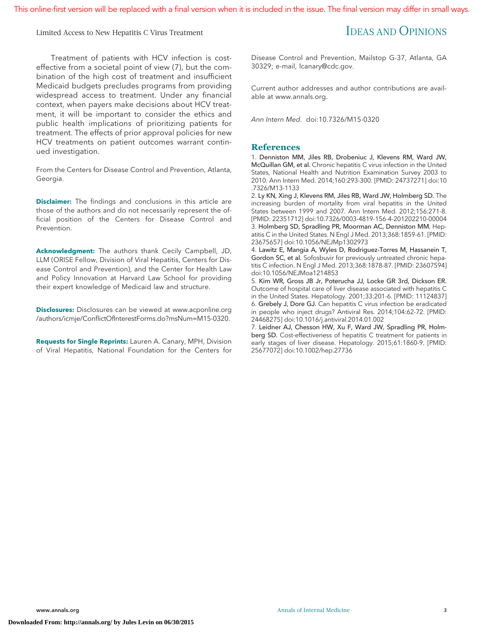Limited Access to New Hepatitis C Virus Treatment **IDEAS AND OPINIONS** 

Treatment of patients with HCV infection is costeffective from a societal point of view (7), but the combination of the high cost of treatment and insufficient Medicaid budgets precludes programs from providing widespread access to treatment. Under any financial context, when payers make decisions about HCV treatment, it will be important to consider the ethics and public health implications of prioritizing patients for treatment. The effects of prior approval policies for new HCV treatments on patient outcomes warrant continued investigation.

From the Centers for Disease Control and Prevention, Atlanta, Georgia.

**Disclaimer:** The findings and conclusions in this article are those of the authors and do not necessarily represent the official position of the Centers for Disease Control and Prevention.

**Acknowledgment:** The authors thank Cecily Campbell, JD, LLM (ORISE Fellow, Division of Viral Hepatitis, Centers for Disease Control and Prevention), and the Center for Health Law and Policy Innovation at Harvard Law School for providing their expert knowledge of Medicaid law and structure.

**Disclosures:** Disclosures can be viewed at [www.acponline.org](http://www.acponline.org/authors/icmje/ConflictOfInterestForms.do?msNum=M15-0320) [/authors/icmje/ConflictOfInterestForms.do?msNum=M15-0320.](http://www.acponline.org/authors/icmje/ConflictOfInterestForms.do?msNum=M15-0320)

**Requests for Single Reprints:** Lauren A. Canary, MPH, Division of Viral Hepatitis, National Foundation for the Centers for

Disease Control and Prevention, Mailstop G-37, Atlanta, GA 30329; e-mail, [lcanary@cdc.gov.](mailto:lcanary@cdc.gov)

Current author addresses and author contributions are available at [www.annals.org.](http://www.annals.org)

Ann Intern Med. doi:10.7326/M15-0320

### **References**

1. Denniston MM, Jiles RB, Drobeniuc J, Klevens RM, Ward JW, McQuillan GM, et al. Chronic hepatitis C virus infection in the United States, National Health and Nutrition Examination Survey 2003 to 2010. Ann Intern Med. 2014;160:293-300. [PMID: 24737271] doi:10 .7326/M13-1133

2. Ly KN, Xing J, Klevens RM, Jiles RB, Ward JW, Holmberg SD. The increasing burden of mortality from viral hepatitis in the United States between 1999 and 2007. Ann Intern Med. 2012;156:271-8. [PMID: 22351712] doi:10.7326/0003-4819-156-4-201202210-00004 3. Holmberg SD, Spradling PR, Moorman AC, Denniston MM. Hepatitis C in the United States. N Engl J Med. 2013;368:1859-61. [PMID: 23675657] doi:10.1056/NEJMp1302973

4. Lawitz E, Mangia A, Wyles D, Rodriguez-Torres M, Hassanein T, Gordon SC, et al. Sofosbuvir for previously untreated chronic hepatitis C infection. N Engl J Med. 2013;368:1878-87. [PMID: 23607594] doi:10.1056/NEJMoa1214853

5. Kim WR, Gross JB Jr, Poterucha JJ, Locke GR 3rd, Dickson ER. Outcome of hospital care of liver disease associated with hepatitis C in the United States. Hepatology. 2001;33:201-6. [PMID: 11124837] 6. Grebely J, Dore GJ. Can hepatitis C virus infection be eradicated in people who inject drugs? Antiviral Res. 2014;104:62-72. [PMID: 24468275] doi:10.1016/j.antiviral.2014.01.002

7. Leidner AJ, Chesson HW, Xu F, Ward JW, Spradling PR, Holmberg SD. Cost-effectiveness of hepatitis C treatment for patients in early stages of liver disease. Hepatology. 2015;61:1860-9. [PMID: 25677072] doi:10.1002/hep.27736